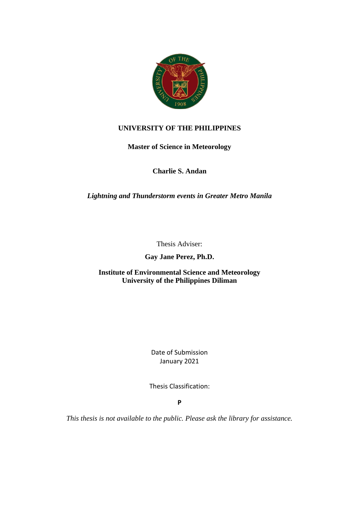

## **UNIVERSITY OF THE PHILIPPINES**

**Master of Science in Meteorology**

**Charlie S. Andan**

*Lightning and Thunderstorm events in Greater Metro Manila*

Thesis Adviser:

**Gay Jane Perez, Ph.D.**

**Institute of Environmental Science and Meteorology University of the Philippines Diliman**

> Date of Submission January 2021

Thesis Classification:

**P**

*This thesis is not available to the public. Please ask the library for assistance.*